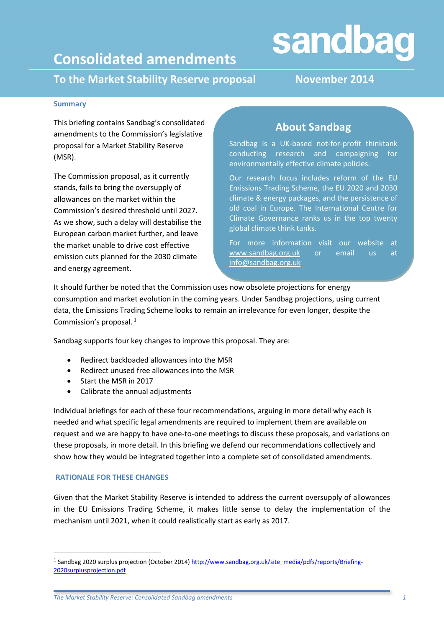# sandbag

## **Consolidated amendments**

**To the Market Stability Reserve proposal November 2014**

#### **Summary**

This briefing contains Sandbag's consolidated amendments to the Commission's legislative proposal for a Market Stability Reserve (MSR).

The Commission proposal, as it currently stands, fails to bring the oversupply of allowances on the market within the Commission's desired threshold until 2027. As we show, such a delay will destabilise the European carbon market further, and leave the market unable to drive cost effective emission cuts planned for the 2030 climate and energy agreement.

### **About Sandbag**

Sandbag is a UK-based not-for-profit thinktank conducting research and campaigning for environmentally effective climate policies.

Our research focus includes reform of the EU Emissions Trading Scheme, the EU 2020 and 2030 climate & energy packages, and the persistence of old coal in Europe. The International Centre for Climate Governance ranks us in the top twenty global climate think tanks.

For more information visit our website at [www.sandbag.org.uk](http://www.sandbag.org.uk/) or email us at [info@sandbag.org.uk](mailto:info@sandbag.org.uk)

It should further be noted that the Commission uses now obsolete projections for energy consumption and market evolution in the coming years. Under Sandbag projections, using current data, the Emissions Trading Scheme looks to remain an irrelevance for even longer, despite the Commission's proposal. <sup>1</sup>

Sandbag supports four key changes to improve this proposal. They are:

- Redirect backloaded allowances into the MSR
- Redirect unused free allowances into the MSR
- Start the MSR in 2017
- Calibrate the annual adjustments

Individual briefings for each of these four recommendations, arguing in more detail why each is needed and what specific legal amendments are required to implement them are available on request and we are happy to have one-to-one meetings to discuss these proposals, and variations on these proposals, in more detail. In this briefing we defend our recommendations collectively and show how they would be integrated together into a complete set of consolidated amendments.

#### **RATIONALE FOR THESE CHANGES**

**.** 

Given that the Market Stability Reserve is intended to address the current oversupply of allowances in the EU Emissions Trading Scheme, it makes little sense to delay the implementation of the mechanism until 2021, when it could realistically start as early as 2017.

<sup>&</sup>lt;sup>1</sup> Sandbag 2020 surplus projection (October 2014) [http://www.sandbag.org.uk/site\\_media/pdfs/reports/Briefing-](http://www.sandbag.org.uk/site_media/pdfs/reports/Briefing-2020surplusprojection.pdf)[2020surplusprojection.pdf](http://www.sandbag.org.uk/site_media/pdfs/reports/Briefing-2020surplusprojection.pdf)

*The Market Stability Reserve: Consolidated Sandbag amendments 1*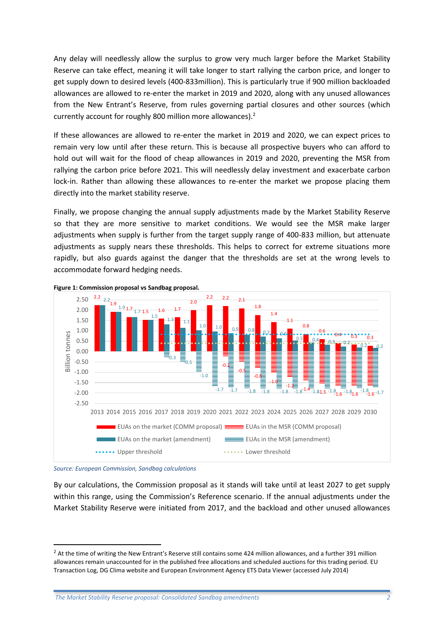Any delay will needlessly allow the surplus to grow very much larger before the Market Stability Reserve can take effect, meaning it will take longer to start rallying the carbon price, and longer to get supply down to desired levels (400-833million). This is particularly true if 900 million backloaded allowances are allowed to re-enter the market in 2019 and 2020, along with any unused allowances from the New Entrant's Reserve, from rules governing partial closures and other sources (which currently account for roughly 800 million more allowances).<sup>2</sup>

If these allowances are allowed to re-enter the market in 2019 and 2020, we can expect prices to remain very low until after these return. This is because all prospective buyers who can afford to hold out will wait for the flood of cheap allowances in 2019 and 2020, preventing the MSR from rallying the carbon price before 2021. This will needlessly delay investment and exacerbate carbon lock-in. Rather than allowing these allowances to re-enter the market we propose placing them directly into the market stability reserve.

Finally, we propose changing the annual supply adjustments made by the Market Stability Reserve so that they are more sensitive to market conditions. We would see the MSR make larger adjustments when supply is further from the target supply range of 400-833 million, but attenuate adjustments as supply nears these thresholds. This helps to correct for extreme situations more rapidly, but also guards against the danger that the thresholds are set at the wrong levels to accommodate forward hedging needs.



<span id="page-1-0"></span>

*Source: European Commission, Sandbag calculations*

1

By our calculations, the Commission proposal as it stands will take until at least 2027 to get supply within this range, using the Commission's Reference scenario. If the annual adjustments under the Market Stability Reserve were initiated from 2017, and the backload and other unused allowances

<sup>&</sup>lt;sup>2</sup> At the time of writing the New Entrant's Reserve still contains some 424 million allowances, and a further 391 million allowances remain unaccounted for in the published free allocations and scheduled auctions for this trading period. EU Transaction Log, DG Clima website and European Environment Agency ETS Data Viewer (accessed July 2014)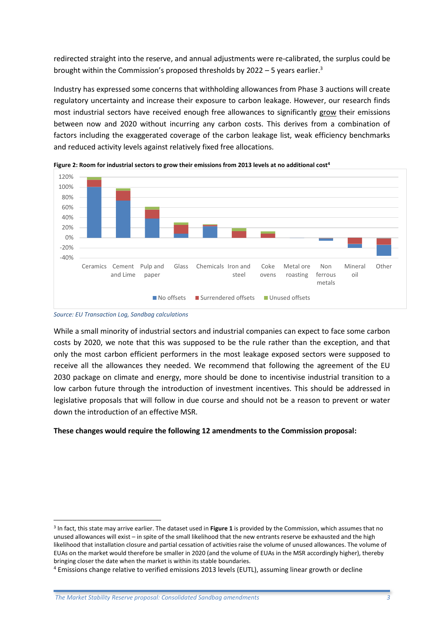redirected straight into the reserve, and annual adjustments were re-calibrated, the surplus could be brought within the Commission's proposed thresholds by  $2022 - 5$  years earlier.<sup>3</sup>

Industry has expressed some concerns that withholding allowances from Phase 3 auctions will create regulatory uncertainty and increase their exposure to carbon leakage. However, our research finds most industrial sectors have received enough free allowances to significantly grow their emissions between now and 2020 without incurring any carbon costs. This derives from a combination of factors including the exaggerated coverage of the carbon leakage list, weak efficiency benchmarks and reduced activity levels against relatively fixed free allocations.



**Figure 2: Room for industrial sectors to grow their emissions from 2013 levels at no additional cost<sup>4</sup>**

*Source: EU Transaction Log, Sandbag calculations*

**.** 

While a small minority of industrial sectors and industrial companies can expect to face some carbon costs by 2020, we note that this was supposed to be the rule rather than the exception, and that only the most carbon efficient performers in the most leakage exposed sectors were supposed to receive all the allowances they needed. We recommend that following the agreement of the EU 2030 package on climate and energy, more should be done to incentivise industrial transition to a low carbon future through the introduction of investment incentives. This should be addressed in legislative proposals that will follow in due course and should not be a reason to prevent or water down the introduction of an effective MSR.

#### **These changes would require the following 12 amendments to the Commission proposal:**

<sup>3</sup> In fact, this state may arrive earlier. The dataset used in **[Figure 1](#page-1-0)** is provided by the Commission, which assumes that no unused allowances will exist – in spite of the small likelihood that the new entrants reserve be exhausted and the high likelihood that installation closure and partial cessation of activities raise the volume of unused allowances. The volume of EUAs on the market would therefore be smaller in 2020 (and the volume of EUAs in the MSR accordingly higher), thereby bringing closer the date when the market is within its stable boundaries.

<sup>4</sup> Emissions change relative to verified emissions 2013 levels (EUTL), assuming linear growth or decline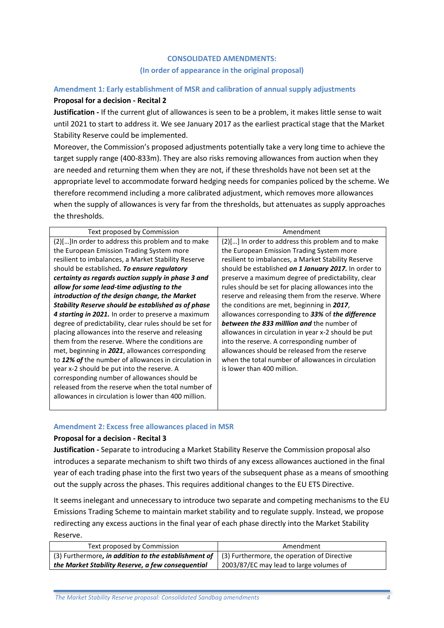#### **CONSOLIDATED AMENDMENTS: (In order of appearance in the original proposal)**

#### **Amendment 1: Early establishment of MSR and calibration of annual supply adjustments**

#### **Proposal for a decision - Recital 2**

**Justification -** If the current glut of allowances is seen to be a problem, it makes little sense to wait until 2021 to start to address it. We see January 2017 as the earliest practical stage that the Market Stability Reserve could be implemented.

Moreover, the Commission's proposed adjustments potentially take a very long time to achieve the target supply range (400-833m). They are also risks removing allowances from auction when they are needed and returning them when they are not, if these thresholds have not been set at the appropriate level to accommodate forward hedging needs for companies policed by the scheme. We therefore recommend including a more calibrated adjustment, which removes more allowances when the supply of allowances is very far from the thresholds, but attenuates as supply approaches the thresholds.

| Text proposed by Commission                             | Amendment                                            |
|---------------------------------------------------------|------------------------------------------------------|
| (2)[] In order to address this problem and to make      | (2)[] In order to address this problem and to make   |
| the European Emission Trading System more               | the European Emission Trading System more            |
| resilient to imbalances, a Market Stability Reserve     | resilient to imbalances, a Market Stability Reserve  |
| should be established. To ensure regulatory             | should be established on 1 January 2017. In order to |
| certainty as regards auction supply in phase 3 and      | preserve a maximum degree of predictability, clear   |
| allow for some lead-time adjusting to the               | rules should be set for placing allowances into the  |
| introduction of the design change, the Market           | reserve and releasing them from the reserve. Where   |
| Stability Reserve should be established as of phase     | the conditions are met, beginning in 2017,           |
| 4 starting in 2021. In order to preserve a maximum      | allowances corresponding to 33% of the difference    |
| degree of predictability, clear rules should be set for | <b>between the 833 milllion and the number of</b>    |
| placing allowances into the reserve and releasing       | allowances in circulation in year x-2 should be put  |
| them from the reserve. Where the conditions are         | into the reserve. A corresponding number of          |
| met, beginning in 2021, allowances corresponding        | allowances should be released from the reserve       |
| to 12% of the number of allowances in circulation in    | when the total number of allowances in circulation   |
| year x-2 should be put into the reserve. A              | is lower than 400 million.                           |
| corresponding number of allowances should be            |                                                      |
| released from the reserve when the total number of      |                                                      |
| allowances in circulation is lower than 400 million.    |                                                      |
|                                                         |                                                      |

#### **Amendment 2: Excess free allowances placed in MSR**

#### **Proposal for a decision - Recital 3**

**Justification -** Separate to introducing a Market Stability Reserve the Commission proposal also introduces a separate mechanism to shift two thirds of any excess allowances auctioned in the final year of each trading phase into the first two years of the subsequent phase as a means of smoothing out the supply across the phases. This requires additional changes to the EU ETS Directive.

It seems inelegant and unnecessary to introduce two separate and competing mechanisms to the EU Emissions Trading Scheme to maintain market stability and to regulate supply. Instead, we propose redirecting any excess auctions in the final year of each phase directly into the Market Stability Reserve.

| Text proposed by Commission                                                                             | Amendment                               |
|---------------------------------------------------------------------------------------------------------|-----------------------------------------|
| (3) Furthermore, in addition to the establishment of $\mid$ (3) Furthermore, the operation of Directive |                                         |
| the Market Stability Reserve, a few consequential                                                       | 2003/87/EC may lead to large volumes of |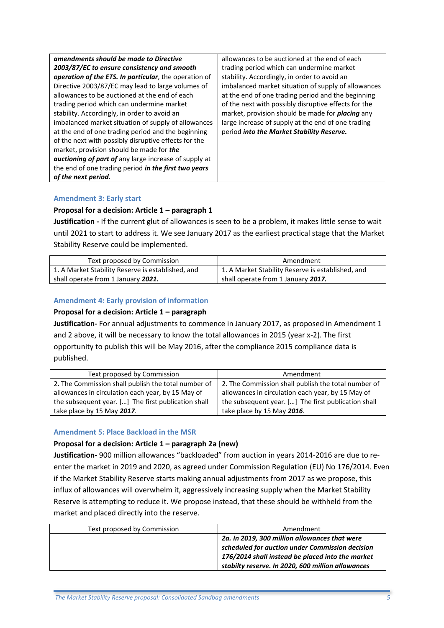| amendments should be made to Directive                       | allowances to be auctioned at the end of each           |
|--------------------------------------------------------------|---------------------------------------------------------|
| 2003/87/EC to ensure consistency and smooth                  | trading period which can undermine market               |
| operation of the ETS. In particular, the operation of        | stability. Accordingly, in order to avoid an            |
| Directive 2003/87/EC may lead to large volumes of            | imbalanced market situation of supply of allowances     |
| allowances to be auctioned at the end of each                | at the end of one trading period and the beginning      |
| trading period which can undermine market                    | of the next with possibly disruptive effects for the    |
| stability. Accordingly, in order to avoid an                 | market, provision should be made for <b>placing</b> any |
| imbalanced market situation of supply of allowances          | large increase of supply at the end of one trading      |
| at the end of one trading period and the beginning           | period into the Market Stability Reserve.               |
| of the next with possibly disruptive effects for the         |                                                         |
| market, provision should be made for <b>the</b>              |                                                         |
| <b>auctioning of part of</b> any large increase of supply at |                                                         |
| the end of one trading period in the first two years         |                                                         |
| of the next period.                                          |                                                         |

#### **Amendment 3: Early start**

#### **Proposal for a decision: Article 1 – paragraph 1**

**Justification -** If the current glut of allowances is seen to be a problem, it makes little sense to wait until 2021 to start to address it. We see January 2017 as the earliest practical stage that the Market Stability Reserve could be implemented.

| Text proposed by Commission                       | Amendment                                         |
|---------------------------------------------------|---------------------------------------------------|
| 1. A Market Stability Reserve is established, and | 1. A Market Stability Reserve is established, and |
| shall operate from 1 January 2021.                | shall operate from 1 January 2017.                |

#### **Amendment 4: Early provision of information**

#### **Proposal for a decision: Article 1 – paragraph**

**Justification-** For annual adjustments to commence in January 2017, as proposed in Amendment 1 and 2 above, it will be necessary to know the total allowances in 2015 (year x-2). The first opportunity to publish this will be May 2016, after the compliance 2015 compliance data is published.

| Text proposed by Commission                         | Amendment                                           |
|-----------------------------------------------------|-----------------------------------------------------|
| 2. The Commission shall publish the total number of | 2. The Commission shall publish the total number of |
| allowances in circulation each year, by 15 May of   | allowances in circulation each year, by 15 May of   |
| the subsequent year. [] The first publication shall | the subsequent year. [] The first publication shall |
| take place by 15 May 2017.                          | take place by 15 May 2016.                          |
|                                                     |                                                     |

#### **Amendment 5: Place Backload in the MSR**

#### **Proposal for a decision: Article 1 – paragraph 2a (new)**

**Justification-** 900 million allowances "backloaded" from auction in years 2014-2016 are due to reenter the market in 2019 and 2020, as agreed under Commission Regulation (EU) No 176/2014. Even if the Market Stability Reserve starts making annual adjustments from 2017 as we propose, this influx of allowances will overwhelm it, aggressively increasing supply when the Market Stability Reserve is attempting to reduce it. We propose instead, that these should be withheld from the market and placed directly into the reserve.

| Text proposed by Commission | Amendment                                                                                                                                                                                                 |
|-----------------------------|-----------------------------------------------------------------------------------------------------------------------------------------------------------------------------------------------------------|
|                             | 2a. In 2019, 300 million allowances that were<br>scheduled for auction under Commission decision<br>176/2014 shall instead be placed into the market<br>stabilty reserve. In 2020, 600 million allowances |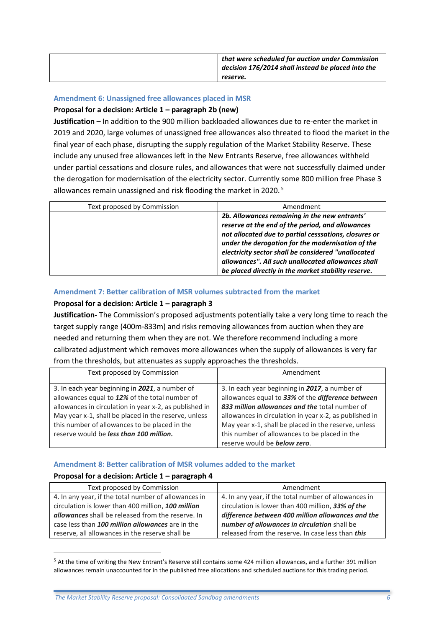| that were scheduled for auction under Commission<br>decision 176/2014 shall instead be placed into the |
|--------------------------------------------------------------------------------------------------------|
| reserve.                                                                                               |

#### **Amendment 6: Unassigned free allowances placed in MSR**

#### **Proposal for a decision: Article 1 – paragraph 2b (new)**

**Justification –** In addition to the 900 million backloaded allowances due to re-enter the market in 2019 and 2020, large volumes of unassigned free allowances also threated to flood the market in the final year of each phase, disrupting the supply regulation of the Market Stability Reserve. These include any unused free allowances left in the New Entrants Reserve, free allowances withheld under partial cessations and closure rules, and allowances that were not successfully claimed under the derogation for modernisation of the electricity sector. Currently some 800 million free Phase 3 allowances remain unassigned and risk flooding the market in 2020. <sup>5</sup>

| Text proposed by Commission | Amendment                                                                                                                                                                                                                                                                                                                                                                           |
|-----------------------------|-------------------------------------------------------------------------------------------------------------------------------------------------------------------------------------------------------------------------------------------------------------------------------------------------------------------------------------------------------------------------------------|
|                             | 2b. Allowances remaining in the new entrants'<br>reserve at the end of the period, and allowances<br>not allocated due to partial cesssations, closures or<br>under the derogation for the modernisation of the<br>electricity sector shall be considered "unallocated<br>allowances". All such unallocated allowances shall<br>be placed directly in the market stability reserve. |

#### **Amendment 7: Better calibration of MSR volumes subtracted from the market**

#### **Proposal for a decision: Article 1 – paragraph 3**

**Justification-** The Commission's proposed adjustments potentially take a very long time to reach the target supply range (400m-833m) and risks removing allowances from auction when they are needed and returning them when they are not. We therefore recommend including a more calibrated adjustment which removes more allowances when the supply of allowances is very far from the thresholds, but attenuates as supply approaches the thresholds.

| Text proposed by Commission                                                                                                                                                                                                                                                                                    | Amendment                                                                                                                                                                                                                                                                                                                |
|----------------------------------------------------------------------------------------------------------------------------------------------------------------------------------------------------------------------------------------------------------------------------------------------------------------|--------------------------------------------------------------------------------------------------------------------------------------------------------------------------------------------------------------------------------------------------------------------------------------------------------------------------|
| 3. In each year beginning in 2021, a number of<br>allowances equal to 12% of the total number of<br>allowances in circulation in year x-2, as published in<br>May year x-1, shall be placed in the reserve, unless<br>this number of allowances to be placed in the<br>reserve would be less than 100 million. | 3. In each year beginning in 2017, a number of<br>allowances equal to 33% of the difference between<br>833 million allowances and the total number of<br>allowances in circulation in year x-2, as published in<br>May year x-1, shall be placed in the reserve, unless<br>this number of allowances to be placed in the |
|                                                                                                                                                                                                                                                                                                                | reserve would be <b>below zero</b> .                                                                                                                                                                                                                                                                                     |

#### **Amendment 8: Better calibration of MSR volumes added to the market**

#### **Proposal for a decision: Article 1 – paragraph 4**

**.** 

| Text proposed by Commission                          | Amendment                                            |
|------------------------------------------------------|------------------------------------------------------|
| 4. In any year, if the total number of allowances in | 4. In any year, if the total number of allowances in |
| circulation is lower than 400 million, 100 million   | circulation is lower than 400 million, 33% of the    |
| allowances shall be released from the reserve. In    | difference between 400 million allowances and the    |
| case less than 100 million allowances are in the     | number of allowances in circulation shall be         |
| reserve, all allowances in the reserve shall be      | released from the reserve. In case less than this    |

<sup>&</sup>lt;sup>5</sup> At the time of writing the New Entrant's Reserve still contains some 424 million allowances, and a further 391 million allowances remain unaccounted for in the published free allocations and scheduled auctions for this trading period.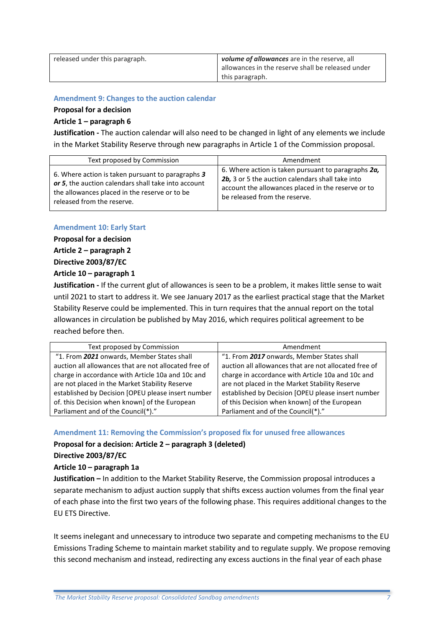| released under this paragraph. | volume of allowances are in the reserve, all      |
|--------------------------------|---------------------------------------------------|
|                                | allowances in the reserve shall be released under |
|                                | this paragraph.                                   |

#### **Amendment 9: Changes to the auction calendar**

#### **Proposal for a decision**

#### **Article 1 – paragraph 6**

**Justification -** The auction calendar will also need to be changed in light of any elements we include in the Market Stability Reserve through new paragraphs in Article 1 of the Commission proposal.

| Text proposed by Commission                                                                                                                                                             | Amendment                                                                                                                                                                                      |
|-----------------------------------------------------------------------------------------------------------------------------------------------------------------------------------------|------------------------------------------------------------------------------------------------------------------------------------------------------------------------------------------------|
| 6. Where action is taken pursuant to paragraphs 3<br>or 5, the auction calendars shall take into account<br>the allowances placed in the reserve or to be<br>released from the reserve. | 6. Where action is taken pursuant to paragraphs 2a,<br>2b, 3 or 5 the auction calendars shall take into<br>account the allowances placed in the reserve or to<br>be released from the reserve. |

#### **Amendment 10: Early Start**

**Proposal for a decision**

#### **Article 2 – paragraph 2**

**Directive 2003/87/EC**

#### **Article 10 – paragraph 1**

**Justification -** If the current glut of allowances is seen to be a problem, it makes little sense to wait until 2021 to start to address it. We see January 2017 as the earliest practical stage that the Market Stability Reserve could be implemented. This in turn requires that the annual report on the total allowances in circulation be published by May 2016, which requires political agreement to be reached before then.

| Text proposed by Commission                           | Amendment                                             |
|-------------------------------------------------------|-------------------------------------------------------|
| "1. From 2021 onwards, Member States shall            | "1. From 2017 onwards, Member States shall            |
| auction all allowances that are not allocated free of | auction all allowances that are not allocated free of |
| charge in accordance with Article 10a and 10c and     | charge in accordance with Article 10a and 10c and     |
| are not placed in the Market Stability Reserve        | are not placed in the Market Stability Reserve        |
| established by Decision [OPEU please insert number    | established by Decision [OPEU please insert number    |
| of. this Decision when known] of the European         | of this Decision when known] of the European          |
| Parliament and of the Council(*)."                    | Parliament and of the Council(*)."                    |

**Amendment 11: Removing the Commission's proposed fix for unused free allowances**

#### **Proposal for a decision: Article 2 – paragraph 3 (deleted)**

**Directive 2003/87/EC**

#### **Article 10 – paragraph 1a**

**Justification –** In addition to the Market Stability Reserve, the Commission proposal introduces a separate mechanism to adjust auction supply that shifts excess auction volumes from the final year of each phase into the first two years of the following phase. This requires additional changes to the EU ETS Directive.

It seems inelegant and unnecessary to introduce two separate and competing mechanisms to the EU Emissions Trading Scheme to maintain market stability and to regulate supply. We propose removing this second mechanism and instead, redirecting any excess auctions in the final year of each phase